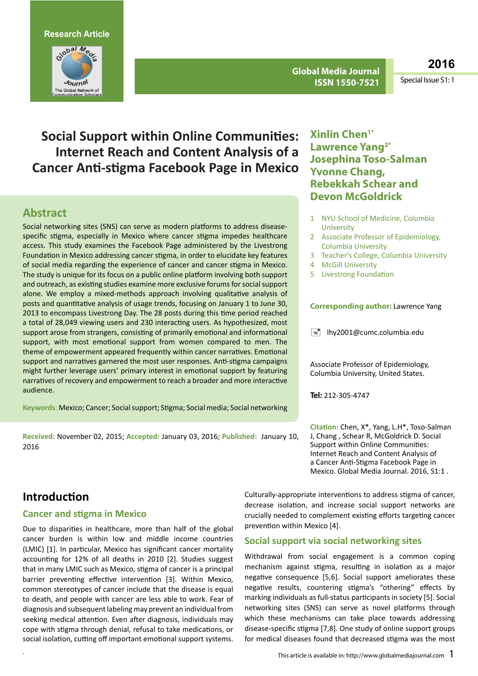

**Global Media Journal ISSN 1550-7521**

**2016**

Special Issue S1: 1

# **Social Support within Online Communities: Internet Reach and Content Analysis of a Cancer Anti-stigma Facebook Page in Mexico**

# **Abstract**

Social networking sites (SNS) can serve as modern platforms to address diseasespecific stigma, especially in Mexico where cancer stigma impedes healthcare access. This study examines the Facebook Page administered by the Livestrong Foundation in Mexico addressing cancer stigma, in order to elucidate key features of social media regarding the experience of cancer and cancer stigma in Mexico. The study is unique for its focus on a public online platform involving both support and outreach, as existing studies examine more exclusive forums for social support alone. We employ a mixed-methods approach involving qualitative analysis of posts and quantitative analysis of usage trends, focusing on January 1 to June 30, 2013 to encompass Livestrong Day. The 28 posts during this time period reached a total of 28,049 viewing users and 230 interacting users. As hypothesized, most support arose from strangers, consisting of primarily emotional and informational support, with most emotional support from women compared to men. The theme of empowerment appeared frequently within cancer narratives. Emotional support and narratives garnered the most user responses. Anti-stigma campaigns might further leverage users' primary interest in emotional support by featuring narratives of recovery and empowerment to reach a broader and more interactive audience.

Keywords: Mexico; Cancer; Social support; Stigma; Social media; Social networking

**Received:** November 02, 2015; **Accepted:** January 03, 2016; **Published:** January 10, 2016

# **Xinlin Chen1\* Lawrence Yang2\* Josephina Toso-Salman Yvonne Chang, Rebekkah Schear and Devon McGoldrick**

- 1 NYU School of Medicine, Columbia **University**
- 2 Associate Professor of Epidemiology, Columbia University
- 3 Teacher's College, Columbia University
- 4 McGill University
- 5 Livestrong Foundation

#### **Corresponding author:** Lawrence Yang

 $\equiv$  [lhy2001@cumc.columbia.edu](mailto:lhy2001@cumc.columbia.edu)

Associate Professor of Epidemiology, Columbia University, United States.

**Tel:** 212-305-4747

**Citation:** Chen, X\*, Yang, L.H\*, Toso-Salman J, Chang , Schear R, McGoldrick D. Social Support within Online Communities: Internet Reach and Content Analysis of a Cancer Anti-Stigma Facebook Page in Mexico. Global Media Journal. 2016, S1:1 .

# **Introduction**

### **Cancer and stigma in Mexico**

Due to disparities in healthcare, more than half of the global cancer burden is within low and middle income countries (LMIC) [1]. In particular, Mexico has significant cancer mortality accounting for 12% of all deaths in 2010 [2]. Studies suggest that in many LMIC such as Mexico, stigma of cancer is a principal barrier preventing effective intervention [3]. Within Mexico, common stereotypes of cancer include that the disease is equal to death, and people with cancer are less able to work. Fear of diagnosis and subsequent labeling may prevent an individual from seeking medical attention. Even after diagnosis, individuals may cope with stigma through denial, refusal to take medications, or social isolation, cutting off important emotional support systems.

Culturally-appropriate interventions to address stigma of cancer, decrease isolation, and increase social support networks are crucially needed to complement existing efforts targeting cancer prevention within Mexico [4].

### **Social support via social networking sites**

Withdrawal from social engagement is a common coping mechanism against stigma, resulting in isolation as a major negative consequence [5,6]. Social support ameliorates these negative results, countering stigma's "othering" effects by marking individuals as full-status participants in society [5]. Social networking sites (SNS) can serve as novel platforms through which these mechanisms can take place towards addressing disease-specific stigma [7,8]. One study of online support groups for medical diseases found that decreased stigma was the most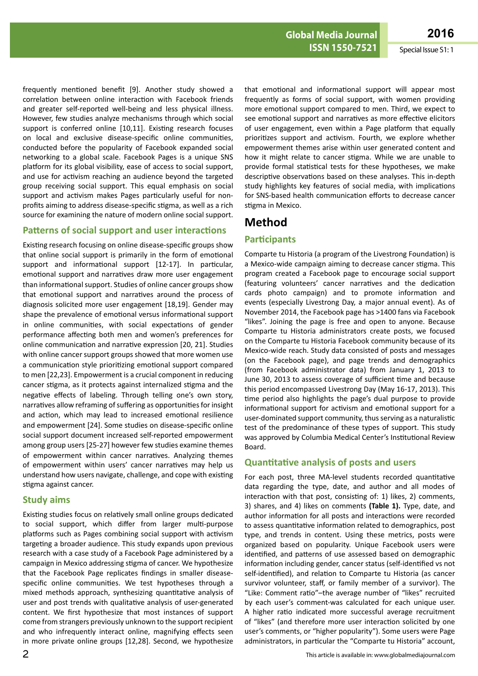**ISSN 1550-7521** Special Issue S1: 1

frequently mentioned benefit [9]. Another study showed a correlation between online interaction with Facebook friends and greater self-reported well-being and less physical illness. However, few studies analyze mechanisms through which social support is conferred online [10,11]. Existing research focuses on local and exclusive disease-specific online communities, conducted before the popularity of Facebook expanded social networking to a global scale. Facebook Pages is a unique SNS platform for its global visibility, ease of access to social support, and use for activism reaching an audience beyond the targeted group receiving social support. This equal emphasis on social support and activism makes Pages particularly useful for nonprofits aiming to address disease-specific stigma, as well as a rich source for examining the nature of modern online social support.

#### **Patterns of social support and user interactions**

Existing research focusing on online disease-specific groups show that online social support is primarily in the form of emotional support and informational support [12-17]. In particular, emotional support and narratives draw more user engagement than informational support. Studies of online cancer groups show that emotional support and narratives around the process of diagnosis solicited more user engagement [18,19]. Gender may shape the prevalence of emotional versus informational support in online communities, with social expectations of gender performance affecting both men and women's preferences for online communication and narrative expression [20, 21]. Studies with online cancer support groups showed that more women use a communication style prioritizing emotional support compared to men [22,23]. Empowerment is a crucial component in reducing cancer stigma, as it protects against internalized stigma and the negative effects of labeling. Through telling one's own story, narratives allow reframing of suffering as opportunities for insight and action, which may lead to increased emotional resilience and empowerment [24]. Some studies on disease-specific online social support document increased self-reported empowerment among group users [25-27] however few studies examine themes of empowerment within cancer narratives. Analyzing themes of empowerment within users' cancer narratives may help us understand how users navigate, challenge, and cope with existing stigma against cancer.

#### **Study aims**

Existing studies focus on relatively small online groups dedicated to social support, which differ from larger multi-purpose platforms such as Pages combining social support with activism targeting a broader audience. This study expands upon previous research with a case study of a Facebook Page administered by a campaign in Mexico addressing stigma of cancer. We hypothesize that the Facebook Page replicates findings in smaller diseasespecific online communities. We test hypotheses through a mixed methods approach, synthesizing quantitative analysis of user and post trends with qualitative analysis of user-generated content. We first hypothesize that most instances of support come from strangers previously unknown to the support recipient and who infrequently interact online, magnifying effects seen in more private online groups [12,28]. Second, we hypothesize that emotional and informational support will appear most frequently as forms of social support, with women providing more emotional support compared to men. Third, we expect to see emotional support and narratives as more effective elicitors of user engagement, even within a Page platform that equally prioritizes support and activism. Fourth, we explore whether empowerment themes arise within user generated content and how it might relate to cancer stigma. While we are unable to provide formal statistical tests for these hypotheses, we make descriptive observations based on these analyses. This in-depth study highlights key features of social media, with implications for SNS-based health communication efforts to decrease cancer stigma in Mexico.

# **Method**

### **Participants**

Comparte tu Historia (a program of the Livestrong Foundation) is a Mexico-wide campaign aiming to decrease cancer stigma. This program created a Facebook page to encourage social support (featuring volunteers' cancer narratives and the dedication cards photo campaign) and to promote information and events (especially Livestrong Day, a major annual event). As of November 2014, the Facebook page has >1400 fans via Facebook "likes". Joining the page is free and open to anyone. Because Comparte tu Historia administrators create posts, we focused on the Comparte tu Historia Facebook community because of its Mexico-wide reach. Study data consisted of posts and messages (on the Facebook page), and page trends and demographics (from Facebook administrator data) from January 1, 2013 to June 30, 2013 to assess coverage of sufficient time and because this period encompassed Livestrong Day (May 16-17, 2013). This time period also highlights the page's dual purpose to provide informational support for activism and emotional support for a user-dominated support community, thus serving as a naturalistic test of the predominance of these types of support. This study was approved by Columbia Medical Center's Institutional Review Board.

#### **Quantitative analysis of posts and users**

For each post, three MA-level students recorded quantitative data regarding the type, date, and author and all modes of interaction with that post, consisting of: 1) likes, 2) comments, 3) shares, and 4) likes on comments **(Table 1).** Type, date, and author information for all posts and interactions were recorded to assess quantitative information related to demographics, post type, and trends in content. Using these metrics, posts were organized based on popularity. Unique Facebook users were identified, and patterns of use assessed based on demographic information including gender, cancer status (self-identified vs not self-identified), and relation to Comparte tu Historia (as cancer survivor volunteer, staff, or family member of a survivor). The "Like: Comment ratio"–the average number of "likes" recruited by each user's comment-was calculated for each unique user. A higher ratio indicated more successful average recruitment of "likes" (and therefore more user interaction solicited by one user's comments, or "higher popularity"). Some users were Page administrators, in particular the "Comparte tu Historia" account,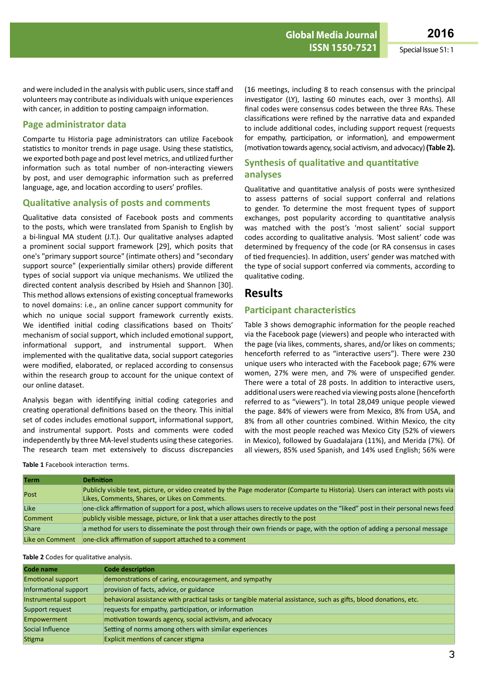and were included in the analysis with public users, since staff and volunteers may contribute as individuals with unique experiences with cancer, in addition to posting campaign information.

### **Page administrator data**

Comparte tu Historia page administrators can utilize Facebook statistics to monitor trends in page usage. Using these statistics, we exported both page and post level metrics, and utilized further information such as total number of non-interacting viewers by post, and user demographic information such as preferred language, age, and location according to users' profiles.

### **Qualitative analysis of posts and comments**

Qualitative data consisted of Facebook posts and comments to the posts, which were translated from Spanish to English by a bi-lingual MA student (J.T.). Our qualitative analyses adapted a prominent social support framework [29], which posits that one's "primary support source" (intimate others) and "secondary support source" (experientially similar others) provide different types of social support via unique mechanisms. We utilized the directed content analysis described by Hsieh and Shannon [30]. This method allows extensions of existing conceptual frameworks to novel domains: i.e., an online cancer support community for which no unique social support framework currently exists. We identified initial coding classifications based on Thoits' mechanism of social support, which included emotional support, informational support, and instrumental support. When implemented with the qualitative data, social support categories were modified, elaborated, or replaced according to consensus within the research group to account for the unique context of our online dataset.

Analysis began with identifying initial coding categories and creating operational definitions based on the theory. This initial set of codes includes emotional support, informational support, and instrumental support. Posts and comments were coded independently by three MA-level students using these categories. The research team met extensively to discuss discrepancies

(16 meetings, including 8 to reach consensus with the principal investigator (LY), lasting 60 minutes each, over 3 months). All final codes were consensus codes between the three RAs. These classifications were refined by the narrative data and expanded to include additional codes, including support request (requests for empathy, participation, or information), and empowerment (motivation towards agency,social activism, and advocacy)**(Table 2).**

### **Synthesis of qualitative and quantitative analyses**

Qualitative and quantitative analysis of posts were synthesized to assess patterns of social support conferral and relations to gender. To determine the most frequent types of support exchanges, post popularity according to quantitative analysis was matched with the post's 'most salient' social support codes according to qualitative analysis. 'Most salient' code was determined by frequency of the code (or RA consensus in cases of tied frequencies). In addition, users' gender was matched with the type of social support conferred via comments, according to qualitative coding.

# **Results**

### **Participant characteristics**

Table 3 shows demographic information for the people reached via the Facebook page (viewers) and people who interacted with the page (via likes, comments, shares, and/or likes on comments; henceforth referred to as "interactive users"). There were 230 unique users who interacted with the Facebook page; 67% were women, 27% were men, and 7% were of unspecified gender. There were a total of 28 posts. In addition to interactive users, additional users were reached via viewing posts alone (henceforth referred to as "viewers"). In total 28,049 unique people viewed the page. 84% of viewers were from Mexico, 8% from USA, and 8% from all other countries combined. Within Mexico, the city with the most people reached was Mexico City (52% of viewers in Mexico), followed by Guadalajara (11%), and Merida (7%). Of all viewers, 85% used Spanish, and 14% used English; 56% were

| <b>Term</b>     | <b>Definition</b>                                                                                                                                                                  |
|-----------------|------------------------------------------------------------------------------------------------------------------------------------------------------------------------------------|
| Post            | Publicly visible text, picture, or video created by the Page moderator (Comparte tu Historia). Users can interact with posts via<br>Likes, Comments, Shares, or Likes on Comments. |
| Like            | one-click affirmation of support for a post, which allows users to receive updates on the "liked" post in their personal news feed                                                 |
| <b>Comment</b>  | publicly visible message, picture, or link that a user attaches directly to the post                                                                                               |
| <b>Share</b>    | a method for users to disseminate the post through their own friends or page, with the option of adding a personal message                                                         |
| Like on Comment | one-click affirmation of support attached to a comment                                                                                                                             |

#### **Table 2** Codes for qualitative analysis.

**Table 1** Facebook interaction terms.

| Code name                | <b>Code description</b>                                                                                          |
|--------------------------|------------------------------------------------------------------------------------------------------------------|
| <b>Emotional support</b> | demonstrations of caring, encouragement, and sympathy                                                            |
| Informational support    | provision of facts, advice, or guidance                                                                          |
| Instrumental support     | behavioral assistance with practical tasks or tangible material assistance, such as gifts, blood donations, etc. |
| Support request          | requests for empathy, participation, or information                                                              |
| Empowerment              | motivation towards agency, social activism, and advocacy                                                         |
| Social Influence         | Setting of norms among others with similar experiences                                                           |
| <b>Stigma</b>            | Explicit mentions of cancer stigma                                                                               |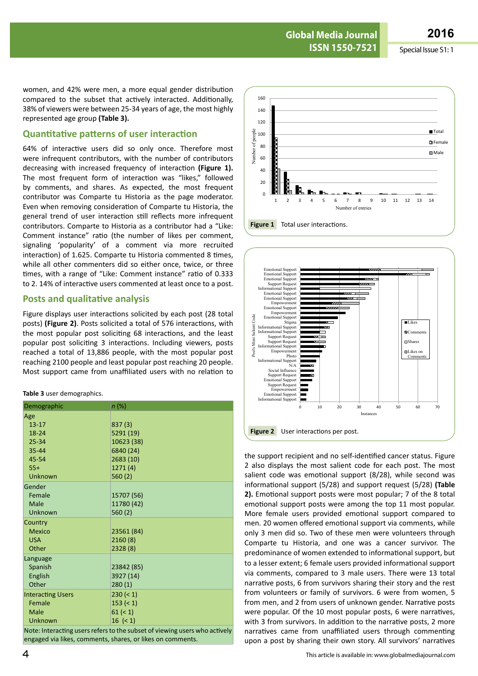women, and 42% were men, a more equal gender distribution compared to the subset that actively interacted. Additionally, 38% of viewers were between 25-34 years of age, the most highly represented age group **(Table 3).**

### **Quantitative patterns of user interaction**

64% of interactive users did so only once. Therefore most were infrequent contributors, with the number of contributors decreasing with increased frequency of interaction **(Figure 1).** The most frequent form of interaction was "likes," followed by comments, and shares. As expected, the most frequent contributor was Comparte tu Historia as the page moderator. Even when removing consideration of Comparte tu Historia, the general trend of user interaction still reflects more infrequent contributors. Comparte to Historia as a contributor had a "Like: Comment instance" ratio (the number of likes per comment, signaling 'popularity' of a comment via more recruited interaction) of 1.625. Comparte tu Historia commented 8 times, while all other commenters did so either once, twice, or three times, with a range of "Like: Comment instance" ratio of 0.333 to 2. 14% of interactive users commented at least once to a post.

#### **Posts and qualitative analysis**

Figure displays user interactions solicited by each post (28 total posts) **(Figure 2)**. Posts solicited a total of 576 interactions, with the most popular post soliciting 68 interactions, and the least popular post soliciting 3 interactions. Including viewers, posts reached a total of 13,886 people, with the most popular post reaching 2100 people and least popular post reaching 20 people. Most support came from unaffiliated users with no relation to

#### **Table 3** user demographics.

| Demographic              | $n (\%)$    |
|--------------------------|-------------|
| Age                      |             |
| $13 - 17$                | 837(3)      |
| 18-24                    | 5291 (19)   |
| $25 - 34$                | 10623 (38)  |
| $35 - 44$                | 6840 (24)   |
| 45-54                    | 2683 (10)   |
| $55+$                    | 1271(4)     |
| Unknown                  | 560(2)      |
| Gender                   |             |
| Female                   | 15707 (56)  |
| Male                     | 11780 (42)  |
| Unknown                  | 560(2)      |
| Country                  |             |
| Mexico                   | 23561 (84)  |
| <b>USA</b>               | 2160 (8)    |
| Other                    | 2328 (8)    |
| Language                 |             |
| Spanish                  | 23842 (85)  |
| English                  | 3927 (14)   |
| Other                    | 280(1)      |
| <b>Interacting Users</b> | $230 (= 1)$ |
| Female                   | $153 (= 1)$ |
| <b>Male</b>              | 61 (< 1)    |
| Unknown                  | $16 (= 1)$  |

Note: Interacting users refers to the subset of viewing users who actively engaged via likes, comments, shares, or likes on comments.





the support recipient and no self-identified cancer status. Figure 2 also displays the most salient code for each post. The most salient code was emotional support (8/28), while second was informational support (5/28) and support request (5/28) **(Table 2).** Emotional support posts were most popular; 7 of the 8 total emotional support posts were among the top 11 most popular. More female users provided emotional support compared to men. 20 women offered emotional support via comments, while only 3 men did so. Two of these men were volunteers through Comparte tu Historia, and one was a cancer survivor. The predominance of women extended to informational support, but to a lesser extent; 6 female users provided informational support via comments, compared to 3 male users. There were 13 total narrative posts, 6 from survivors sharing their story and the rest from volunteers or family of survivors. 6 were from women, 5 from men, and 2 from users of unknown gender. Narrative posts were popular. Of the 10 most popular posts, 6 were narratives, with 3 from survivors. In addition to the narrative posts, 2 more narratives came from unaffiliated users through commenting upon a post by sharing their own story. All survivors' narratives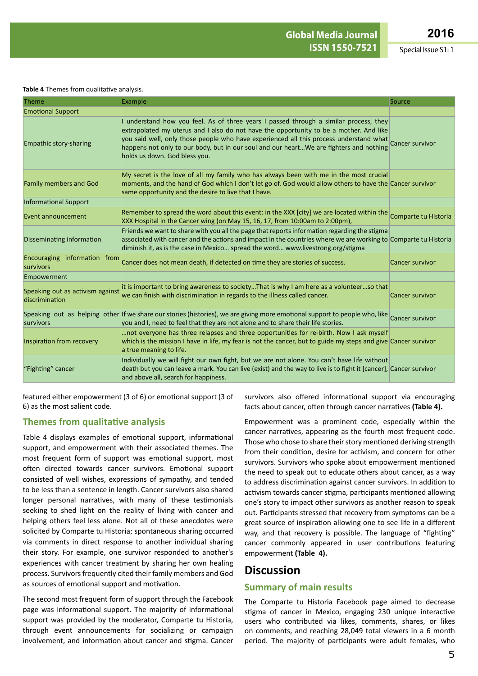#### **Table 4** Themes from qualitative analysis.

| <b>Theme</b>                                       | Example                                                                                                                                                                                                                                                                                                                                                                                              | Source                 |
|----------------------------------------------------|------------------------------------------------------------------------------------------------------------------------------------------------------------------------------------------------------------------------------------------------------------------------------------------------------------------------------------------------------------------------------------------------------|------------------------|
| <b>Emotional Support</b>                           |                                                                                                                                                                                                                                                                                                                                                                                                      |                        |
| <b>Empathic story-sharing</b>                      | I understand how you feel. As of three years I passed through a similar process, they<br>extrapolated my uterus and I also do not have the opportunity to be a mother. And like<br>you said well, only those people who have experienced all this process understand what<br>happens not only to our body, but in our soul and our heartWe are fighters and nothing<br>holds us down. God bless you. |                        |
| <b>Family members and God</b>                      | My secret is the love of all my family who has always been with me in the most crucial<br>moments, and the hand of God which I don't let go of. God would allow others to have the Cancer survivor<br>same opportunity and the desire to live that I have.                                                                                                                                           |                        |
| <b>Informational Support</b>                       |                                                                                                                                                                                                                                                                                                                                                                                                      |                        |
| Event announcement                                 | Remember to spread the word about this event: in the XXX [city] we are located within the comparte tu Historia<br>XXX Hospital in the Cancer wing (on May 15, 16, 17, from 10:00am to 2:00pm),                                                                                                                                                                                                       |                        |
| Disseminating information                          | Friends we want to share with you all the page that reports information regarding the stigma<br>associated with cancer and the actions and impact in the countries where we are working to Comparte tu Historia<br>diminish it, as is the case in Mexico spread the word www.livestrong.org/stigma                                                                                                   |                        |
| Encouraging information from<br>survivors          | Cancer does not mean death, if detected on time they are stories of success.                                                                                                                                                                                                                                                                                                                         | <b>Cancer survivor</b> |
| Empowerment                                        |                                                                                                                                                                                                                                                                                                                                                                                                      |                        |
| Speaking out as activism against<br>discrimination | it is important to bring awareness to societyThat is why I am here as a volunteerso that<br>we can finish with discrimination in regards to the illness called cancer.                                                                                                                                                                                                                               | <b>Cancer survivor</b> |
| survivors                                          | Speaking out as helping other If we share our stories (histories), we are giving more emotional support to people who, like Cancer survivor<br>you and I, need to feel that they are not alone and to share their life stories.                                                                                                                                                                      |                        |
| Inspiration from recovery                          | not everyone has three relapses and three opportunities for re-birth. Now I ask myself<br>which is the mission I have in life, my fear is not the cancer, but to guide my steps and give Cancer survivor<br>a true meaning to life.                                                                                                                                                                  |                        |
| "Fighting" cancer                                  | Individually we will fight our own fight, but we are not alone. You can't have life without<br>death but you can leave a mark. You can live (exist) and the way to live is to fight it [cancer], Cancer survivor<br>and above all, search for happiness.                                                                                                                                             |                        |

featured either empowerment (3 of 6) or emotional support (3 of 6) as the most salient code.

### **Themes from qualitative analysis**

Table 4 displays examples of emotional support, informational support, and empowerment with their associated themes. The most frequent form of support was emotional support, most often directed towards cancer survivors. Emotional support consisted of well wishes, expressions of sympathy, and tended to be less than a sentence in length. Cancer survivors also shared longer personal narratives, with many of these testimonials seeking to shed light on the reality of living with cancer and helping others feel less alone. Not all of these anecdotes were solicited by Comparte tu Historia; spontaneous sharing occurred via comments in direct response to another individual sharing their story. For example, one survivor responded to another's experiences with cancer treatment by sharing her own healing process. Survivors frequently cited their family members and God as sources of emotional support and motivation.

The second most frequent form of support through the Facebook page was informational support. The majority of informational support was provided by the moderator, Comparte tu Historia, through event announcements for socializing or campaign involvement, and information about cancer and stigma. Cancer

survivors also offered informational support via encouraging facts about cancer, often through cancer narratives **(Table 4).**

Empowerment was a prominent code, especially within the cancer narratives, appearing as the fourth most frequent code. Those who chose to share their story mentioned deriving strength from their condition, desire for activism, and concern for other survivors. Survivors who spoke about empowerment mentioned the need to speak out to educate others about cancer, as a way to address discrimination against cancer survivors. In addition to activism towards cancer stigma, participants mentioned allowing one's story to impact other survivors as another reason to speak out. Participants stressed that recovery from symptoms can be a great source of inspiration allowing one to see life in a different way, and that recovery is possible. The language of "fighting" cancer commonly appeared in user contributions featuring empowerment **(Table 4).**

# **Discussion**

#### **Summary of main results**

The Comparte tu Historia Facebook page aimed to decrease stigma of cancer in Mexico, engaging 230 unique interactive users who contributed via likes, comments, shares, or likes on comments, and reaching 28,049 total viewers in a 6 month period. The majority of participants were adult females, who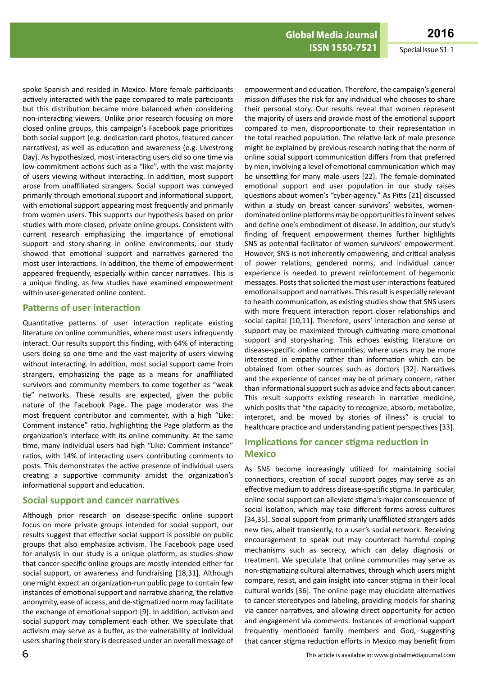**ISSN 1550-7521** Special Issue S1: 1

spoke Spanish and resided in Mexico. More female participants actively interacted with the page compared to male participants but this distribution became more balanced when considering non-interacting viewers. Unlike prior research focusing on more closed online groups, this campaign's Facebook page prioritizes both social support (e.g. dedication card photos, featured cancer narratives), as well as education and awareness (e.g. Livestrong Day). As hypothesized, most interacting users did so one time via low-commitment actions such as a "like", with the vast majority of users viewing without interacting. In addition, most support arose from unaffiliated strangers. Social support was conveyed primarily through emotional support and informational support, with emotional support appearing most frequently and primarily from women users. This supports our hypothesis based on prior studies with more closed, private online groups. Consistent with current research emphasizing the importance of emotional support and story-sharing in online environments, our study showed that emotional support and narratives garnered the most user interactions. In addition, the theme of empowerment appeared frequently, especially within cancer narratives. This is a unique finding, as few studies have examined empowerment within user-generated online content.

#### **Patterns of user interaction**

Quantitative patterns of user interaction replicate existing literature on online communities, where most users infrequently interact. Our results support this finding, with 64% of interacting users doing so one time and the vast majority of users viewing without interacting. In addition, most social support came from strangers, emphasizing the page as a means for unaffiliated survivors and community members to come together as "weak tie" networks. These results are expected, given the public nature of the Facebook Page. The page moderator was the most frequent contributor and commenter, with a high "Like: Comment instance" ratio, highlighting the Page platform as the organization's interface with its online community. At the same time, many individual users had high "Like: Comment instance" ratios, with 14% of interacting users contributing comments to posts. This demonstrates the active presence of individual users creating a supportive community amidst the organization's informational support and education.

#### **Social support and cancer narratives**

Although prior research on disease-specific online support focus on more private groups intended for social support, our results suggest that effective social support is possible on public groups that also emphasize activism. The Facebook page used for analysis in our study is a unique platform, as studies show that cancer-specific online groups are mostly intended either for social support, or awareness and fundraising [18,31]. Although one might expect an organization-run public page to contain few instances of emotional support and narrative sharing, the relative anonymity, ease of access, and de-stigmatized norm may facilitate the exchange of emotional support [9]. In addition, activism and social support may complement each other. We speculate that activism may serve as a buffer, as the vulnerability of individual users sharing their story is decreased under an overall message of

empowerment and education. Therefore, the campaign's general mission diffuses the risk for any individual who chooses to share their personal story. Our results reveal that women represent the majority of users and provide most of the emotional support compared to men, disproportionate to their representation in the total reached population. The relative lack of male presence might be explained by previous research noting that the norm of online social support communication differs from that preferred by men, involving a level of emotional communication which may be unsettling for many male users [22]. The female-dominated emotional support and user population in our study raises questions about women's "cyber-agency." As Pitts [21] discussed within a study on breast cancer survivors' websites, womendominated online platforms may be opportunities to invent selves and define one's embodiment of disease. In addition, our study's finding of frequent empowerment themes further highlights SNS as potential facilitator of women survivors' empowerment. However, SNS is not inherently empowering, and critical analysis of power relations, gendered norms, and individual cancer experience is needed to prevent reinforcement of hegemonic messages. Posts that solicited the most user interactions featured emotional support and narratives. This result is especially relevant to health communication, as existing studies show that SNS users with more frequent interaction report closer relationships and social capital [10,11]. Therefore, users' interaction and sense of support may be maximized through cultivating more emotional support and story-sharing. This echoes existing literature on disease-specific online communities, where users may be more interested in empathy rather than information which can be obtained from other sources such as doctors [32]. Narratives and the experience of cancer may be of primary concern, rather than informational support such as advice and facts about cancer. This result supports existing research in narrative medicine, which posits that "the capacity to recognize, absorb, metabolize, interpret, and be moved by stories of illness" is crucial to healthcare practice and understanding patient perspectives [33].

### **Implications for cancer stigma reduction in Mexico**

As SNS become increasingly utilized for maintaining social connections, creation of social support pages may serve as an effective medium to address disease-specific stigma. In particular, online social support can alleviate stigma's major consequence of social isolation, which may take different forms across cultures [34,35]. Social support from primarily unaffiliated strangers adds new ties, albeit transiently, to a user's social network. Receiving encouragement to speak out may counteract harmful coping mechanisms such as secrecy, which can delay diagnosis or treatment. We speculate that online communities may serve as non-stigmatizing cultural alternatives, through which users might compare, resist, and gain insight into cancer stigma in their local cultural worlds [36]. The online page may elucidate alternatives to cancer stereotypes and labeling, providing models for sharing via cancer narratives, and allowing direct opportunity for action and engagement via comments. Instances of emotional support frequently mentioned family members and God, suggesting that cancer stigma reduction efforts in Mexico may benefit from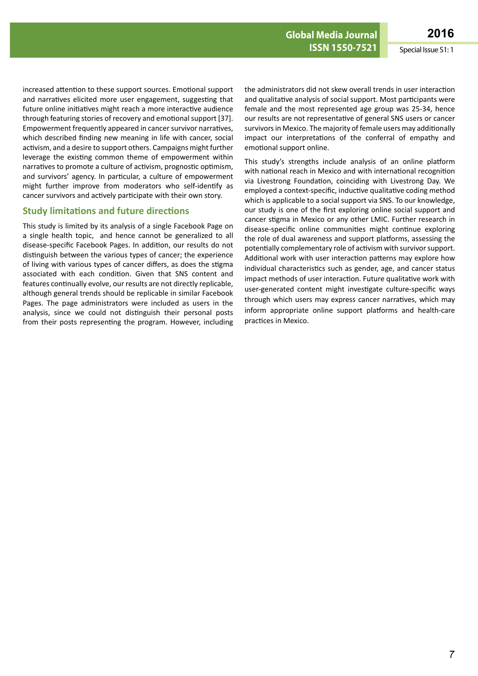increased attention to these support sources. Emotional support and narratives elicited more user engagement, suggesting that future online initiatives might reach a more interactive audience through featuring stories of recovery and emotional support [37]. Empowerment frequently appeared in cancer survivor narratives, which described finding new meaning in life with cancer, social activism, and a desire to support others. Campaigns might further leverage the existing common theme of empowerment within narratives to promote a culture of activism, prognostic optimism, and survivors' agency. In particular, a culture of empowerment might further improve from moderators who self-identify as cancer survivors and actively participate with their own story.

### **Study limitations and future directions**

This study is limited by its analysis of a single Facebook Page on a single health topic, and hence cannot be generalized to all disease-specific Facebook Pages. In addition, our results do not distinguish between the various types of cancer; the experience of living with various types of cancer differs, as does the stigma associated with each condition. Given that SNS content and features continually evolve, our results are not directly replicable, although general trends should be replicable in similar Facebook Pages. The page administrators were included as users in the analysis, since we could not distinguish their personal posts from their posts representing the program. However, including the administrators did not skew overall trends in user interaction and qualitative analysis of social support. Most participants were female and the most represented age group was 25-34, hence our results are not representative of general SNS users or cancer survivors in Mexico. The majority of female users may additionally impact our interpretations of the conferral of empathy and emotional support online.

This study's strengths include analysis of an online platform with national reach in Mexico and with international recognition via Livestrong Foundation, coinciding with Livestrong Day. We employed a context-specific, inductive qualitative coding method which is applicable to a social support via SNS. To our knowledge, our study is one of the first exploring online social support and cancer stigma in Mexico or any other LMIC. Further research in disease-specific online communities might continue exploring the role of dual awareness and support platforms, assessing the potentially complementary role of activism with survivor support. Additional work with user interaction patterns may explore how individual characteristics such as gender, age, and cancer status impact methods of user interaction. Future qualitative work with user-generated content might investigate culture-specific ways through which users may express cancer narratives, which may inform appropriate online support platforms and health-care practices in Mexico.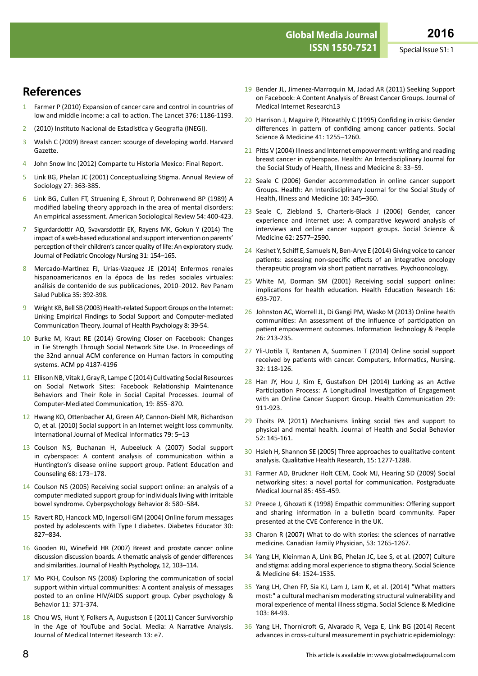# **References**

- 1 Farmer P (2010) Expansion of cancer care and control in countries of low and middle income: a call to action. The Lancet 376: 1186-1193.
- 2 (2010) Instituto Nacional de Estadistica y Geografia (INEGI).
- 3 Walsh C (2009) Breast cancer: scourge of developing world. Harvard Gazette.
- 4 John Snow Inc (2012) Comparte tu Historia Mexico: Final Report.
- 5 Link BG, Phelan JC (2001) Conceptualizing Stigma. Annual Review of Sociology 27: 363-385.
- 6 Link BG, Cullen FT, Struening E, Shrout P, Dohrenwend BP (1989) A modified labeling theory approach in the area of mental disorders: An empirical assessment. American Sociological Review 54: 400-423.
- 7 Sigurdardottir AO, Svavarsdottir EK, Rayens MK, Gokun Y (2014) The impact of a web-based educational and support intervention on parents' perception of their children's cancer quality of life: An exploratory study. Journal of Pediatric Oncology Nursing 31: 154–165.
- 8 Mercado-Martinez FJ, Urias-Vazquez JE (2014) Enfermos renales hispanoamericanos en la época de las redes sociales virtuales: análisis de contenido de sus publicaciones, 2010–2012. Rev Panam Salud Publica 35: 392-398.
- 9 Wright KB, Bell SB (2003) Health-related Support Groups on the Internet: Linking Empirical Findings to Social Support and Computer-mediated Communication Theory. Journal of Health Psychology 8: 39-54.
- 10 Burke M, Kraut RE (2014) Growing Closer on Facebook: Changes in Tie Strength Through Social Network Site Use. In Proceedings of the 32nd annual ACM conference on Human factors in computing systems. ACM pp 4187-4196
- 11 Ellison NB, Vitak J, Gray R, Lampe C (2014) Cultivating Social Resources on Social Network Sites: Facebook Relationship Maintenance Behaviors and Their Role in Social Capital Processes. Journal of Computer-Mediated Communication, 19: 855–870.
- 12 Hwang KO, Ottenbacher AJ, Green AP, Cannon-Diehl MR, Richardson O, et al. (2010) Social support in an Internet weight loss community. International Journal of Medical Informatics 79: 5–13
- 13 Coulson NS, Buchanan H, Aubeeluck A (2007) Social support in cyberspace: A content analysis of communication within a Huntington's disease online support group. Patient Education and Counseling 68: 173–178.
- 14 Coulson NS (2005) Receiving social support online: an analysis of a computer mediated support group for individuals living with irritable bowel syndrome. Cyberpsychology Behavior 8: 580–584.
- 15 Ravert RD, Hancock MD, Ingersoll GM (2004) Online forum messages posted by adolescents with Type I diabetes. Diabetes Educator 30: 827–834.
- 16 Gooden RJ, Winefield HR (2007) Breast and prostate cancer online discussion discussion boards. A thematic analysis of gender differences and similarities. Journal of Health Psychology, 12, 103–114.
- 17 Mo PKH, Coulson NS (2008) Exploring the communication of social support within virtual communities: A content analysis of messages posted to an online HIV/AIDS support group. Cyber psychology & Behavior 11: 371-374.
- 18 Chou WS, Hunt Y, Folkers A, Augustson E (2011) Cancer Survivorship in the Age of YouTube and Social. Media: A Narrative Analysis. Journal of Medical Internet Research 13: e7.
- 19 Bender JL, Jimenez-Marroquin M, Jadad AR (2011) Seeking Support on Facebook: A Content Analysis of Breast Cancer Groups. Journal of Medical Internet Research13
- 20 Harrison J, Maguire P, Pitceathly C (1995) Confiding in crisis: Gender differences in pattern of confiding among cancer patients. Social Science & Medicine 41: 1255–1260.
- 21 Pitts V (2004) Illness and Internet empowerment: writing and reading breast cancer in cyberspace. Health: An Interdisciplinary Journal for the Social Study of Health, Illness and Medicine 8: 33–59.
- 22 Seale C (2006) Gender accommodation in online cancer support Groups. Health: An Interdisciplinary Journal for the Social Study of Health, Illness and Medicine 10: 345–360.
- 23 Seale C, Ziebland S, Charteris-Black J (2006) Gender, cancer experience and internet use: A comparative keyword analysis of interviews and online cancer support groups. Social Science & Medicine 62: 2577–2590.
- 24 Keshet Y, Schiff E, Samuels N, Ben-Arye E (2014) Giving voice to cancer patients: assessing non-specific effects of an integrative oncology therapeutic program via short patient narratives. Psychooncology.
- 25 White M, Dorman SM (2001) Receiving social support online: implications for health education. Health Education Research 16: 693-707.
- 26 Johnston AC, Worrell JL, Di Gangi PM, Wasko M (2013) Online health communities: An assessment of the influence of participation on patient empowerment outcomes. Information Technology & People 26: 213-235.
- 27 Yli-Uotila T, Rantanen A, Suominen T (2014) Online social support received by patients with cancer. Computers, Informatics, Nursing. 32: 118-126.
- 28 Han JY, Hou J, Kim E, Gustafson DH (2014) Lurking as an Active Participation Process: A Longitudinal Investigation of Engagement with an Online Cancer Support Group. Health Communication 29: 911-923.
- 29 Thoits PA (2011) Mechanisms linking social ties and support to physical and mental health. Journal of Health and Social Behavior 52: 145-161.
- 30 Hsieh H, Shannon SE (2005) Three approaches to qualitative content analysis. Qualitative Health Research, 15: 1277-1288.
- 31 Farmer AD, Bruckner Holt CEM, Cook MJ, Hearing SD (2009) Social networking sites: a novel portal for communication. Postgraduate Medical Journal 85: 455-459.
- 32 Preece J, Ghozati K (1998) Empathic communities: Offering support and sharing information in a bulletin board community. Paper presented at the CVE Conference in the UK.
- 33 Charon R (2007) What to do with stories: the sciences of narrative medicine. Canadian Family Physician, 53: 1265-1267.
- 34 Yang LH, Kleinman A, Link BG, Phelan JC, Lee S, et al. (2007) Culture and stigma: adding moral experience to stigma theory. Social Science & Medicine 64: 1524-1535.
- 35 Yang LH, Chen FP, Sia KJ, Lam J, Lam K, et al. (2014) "What matters most:" a cultural mechanism moderating structural vulnerability and moral experience of mental illness stigma. Social Science & Medicine 103: 84-93.
- 36 Yang LH, Thornicroft G, Alvarado R, Vega E, Link BG (2014) Recent advances in cross-cultural measurement in psychiatric epidemiology: